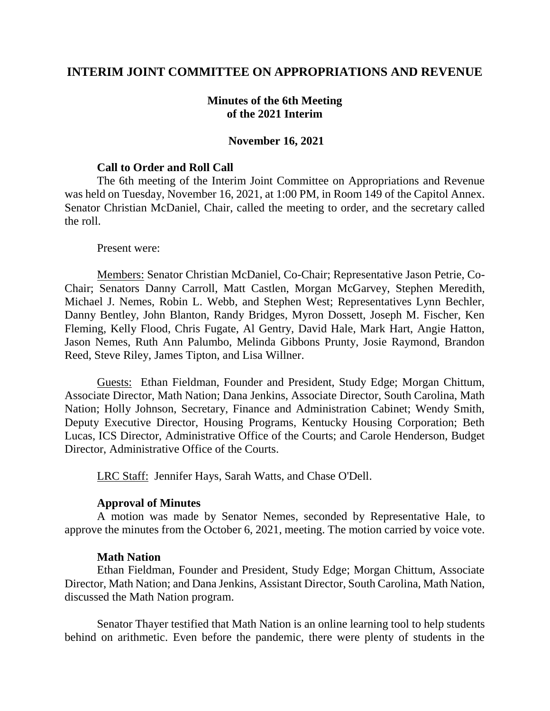## **INTERIM JOINT COMMITTEE ON APPROPRIATIONS AND REVENUE**

## **Minutes of the 6th Meeting of the 2021 Interim**

#### **November 16, 2021**

#### **Call to Order and Roll Call**

The 6th meeting of the Interim Joint Committee on Appropriations and Revenue was held on Tuesday, November 16, 2021, at 1:00 PM, in Room 149 of the Capitol Annex. Senator Christian McDaniel, Chair, called the meeting to order, and the secretary called the roll.

#### Present were:

Members: Senator Christian McDaniel, Co-Chair; Representative Jason Petrie, Co-Chair; Senators Danny Carroll, Matt Castlen, Morgan McGarvey, Stephen Meredith, Michael J. Nemes, Robin L. Webb, and Stephen West; Representatives Lynn Bechler, Danny Bentley, John Blanton, Randy Bridges, Myron Dossett, Joseph M. Fischer, Ken Fleming, Kelly Flood, Chris Fugate, Al Gentry, David Hale, Mark Hart, Angie Hatton, Jason Nemes, Ruth Ann Palumbo, Melinda Gibbons Prunty, Josie Raymond, Brandon Reed, Steve Riley, James Tipton, and Lisa Willner.

Guests: Ethan Fieldman, Founder and President, Study Edge; Morgan Chittum, Associate Director, Math Nation; Dana Jenkins, Associate Director, South Carolina, Math Nation; Holly Johnson, Secretary, Finance and Administration Cabinet; Wendy Smith, Deputy Executive Director, Housing Programs, Kentucky Housing Corporation; Beth Lucas, ICS Director, Administrative Office of the Courts; and Carole Henderson, Budget Director, Administrative Office of the Courts.

LRC Staff: Jennifer Hays, Sarah Watts, and Chase O'Dell.

### **Approval of Minutes**

A motion was made by Senator Nemes, seconded by Representative Hale, to approve the minutes from the October 6, 2021, meeting. The motion carried by voice vote.

#### **Math Nation**

Ethan Fieldman, Founder and President, Study Edge; Morgan Chittum, Associate Director, Math Nation; and Dana Jenkins, Assistant Director, South Carolina, Math Nation, discussed the Math Nation program.

Senator Thayer testified that Math Nation is an online learning tool to help students behind on arithmetic. Even before the pandemic, there were plenty of students in the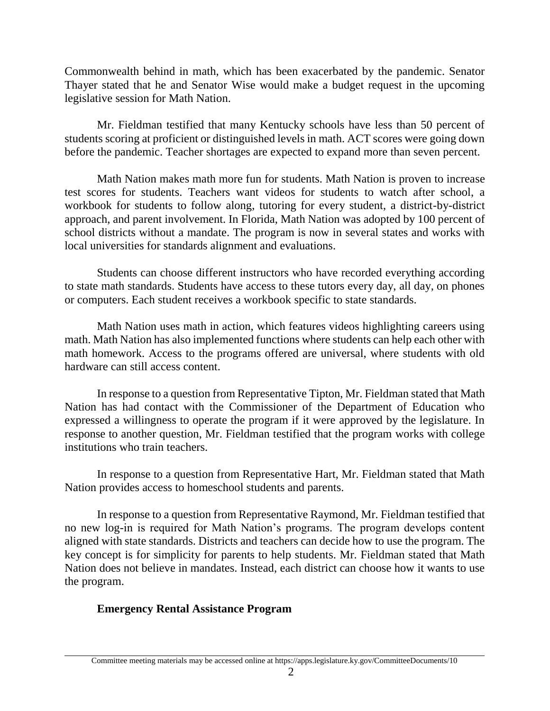Commonwealth behind in math, which has been exacerbated by the pandemic. Senator Thayer stated that he and Senator Wise would make a budget request in the upcoming legislative session for Math Nation.

Mr. Fieldman testified that many Kentucky schools have less than 50 percent of students scoring at proficient or distinguished levels in math. ACT scores were going down before the pandemic. Teacher shortages are expected to expand more than seven percent.

Math Nation makes math more fun for students. Math Nation is proven to increase test scores for students. Teachers want videos for students to watch after school, a workbook for students to follow along, tutoring for every student, a district-by-district approach, and parent involvement. In Florida, Math Nation was adopted by 100 percent of school districts without a mandate. The program is now in several states and works with local universities for standards alignment and evaluations.

Students can choose different instructors who have recorded everything according to state math standards. Students have access to these tutors every day, all day, on phones or computers. Each student receives a workbook specific to state standards.

Math Nation uses math in action, which features videos highlighting careers using math. Math Nation has also implemented functions where students can help each other with math homework. Access to the programs offered are universal, where students with old hardware can still access content.

In response to a question from Representative Tipton, Mr. Fieldman stated that Math Nation has had contact with the Commissioner of the Department of Education who expressed a willingness to operate the program if it were approved by the legislature. In response to another question, Mr. Fieldman testified that the program works with college institutions who train teachers.

In response to a question from Representative Hart, Mr. Fieldman stated that Math Nation provides access to homeschool students and parents.

In response to a question from Representative Raymond, Mr. Fieldman testified that no new log-in is required for Math Nation's programs. The program develops content aligned with state standards. Districts and teachers can decide how to use the program. The key concept is for simplicity for parents to help students. Mr. Fieldman stated that Math Nation does not believe in mandates. Instead, each district can choose how it wants to use the program.

# **Emergency Rental Assistance Program**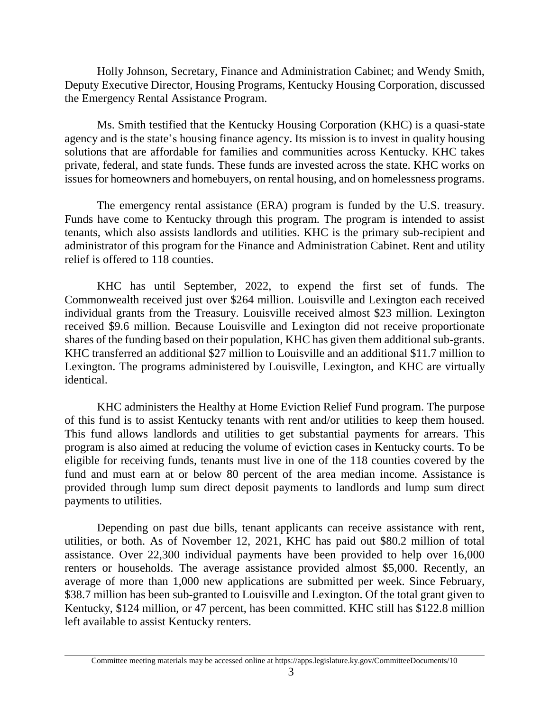Holly Johnson, Secretary, Finance and Administration Cabinet; and Wendy Smith, Deputy Executive Director, Housing Programs, Kentucky Housing Corporation, discussed the Emergency Rental Assistance Program.

Ms. Smith testified that the Kentucky Housing Corporation (KHC) is a quasi-state agency and is the state's housing finance agency. Its mission is to invest in quality housing solutions that are affordable for families and communities across Kentucky. KHC takes private, federal, and state funds. These funds are invested across the state. KHC works on issues for homeowners and homebuyers, on rental housing, and on homelessness programs.

The emergency rental assistance (ERA) program is funded by the U.S. treasury. Funds have come to Kentucky through this program. The program is intended to assist tenants, which also assists landlords and utilities. KHC is the primary sub-recipient and administrator of this program for the Finance and Administration Cabinet. Rent and utility relief is offered to 118 counties.

KHC has until September, 2022, to expend the first set of funds. The Commonwealth received just over \$264 million. Louisville and Lexington each received individual grants from the Treasury. Louisville received almost \$23 million. Lexington received \$9.6 million. Because Louisville and Lexington did not receive proportionate shares of the funding based on their population, KHC has given them additional sub-grants. KHC transferred an additional \$27 million to Louisville and an additional \$11.7 million to Lexington. The programs administered by Louisville, Lexington, and KHC are virtually identical.

KHC administers the Healthy at Home Eviction Relief Fund program. The purpose of this fund is to assist Kentucky tenants with rent and/or utilities to keep them housed. This fund allows landlords and utilities to get substantial payments for arrears. This program is also aimed at reducing the volume of eviction cases in Kentucky courts. To be eligible for receiving funds, tenants must live in one of the 118 counties covered by the fund and must earn at or below 80 percent of the area median income. Assistance is provided through lump sum direct deposit payments to landlords and lump sum direct payments to utilities.

Depending on past due bills, tenant applicants can receive assistance with rent, utilities, or both. As of November 12, 2021, KHC has paid out \$80.2 million of total assistance. Over 22,300 individual payments have been provided to help over 16,000 renters or households. The average assistance provided almost \$5,000. Recently, an average of more than 1,000 new applications are submitted per week. Since February, \$38.7 million has been sub-granted to Louisville and Lexington. Of the total grant given to Kentucky, \$124 million, or 47 percent, has been committed. KHC still has \$122.8 million left available to assist Kentucky renters.

Committee meeting materials may be accessed online at https://apps.legislature.ky.gov/CommitteeDocuments/10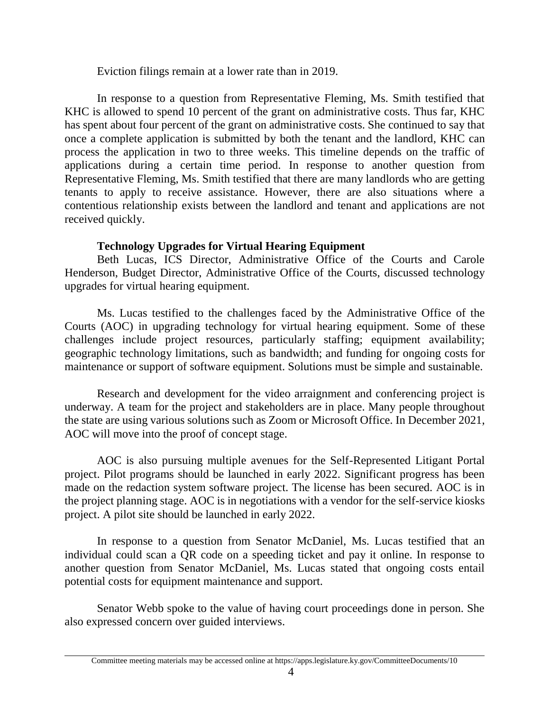Eviction filings remain at a lower rate than in 2019.

In response to a question from Representative Fleming, Ms. Smith testified that KHC is allowed to spend 10 percent of the grant on administrative costs. Thus far, KHC has spent about four percent of the grant on administrative costs. She continued to say that once a complete application is submitted by both the tenant and the landlord, KHC can process the application in two to three weeks. This timeline depends on the traffic of applications during a certain time period. In response to another question from Representative Fleming, Ms. Smith testified that there are many landlords who are getting tenants to apply to receive assistance. However, there are also situations where a contentious relationship exists between the landlord and tenant and applications are not received quickly.

## **Technology Upgrades for Virtual Hearing Equipment**

Beth Lucas, ICS Director, Administrative Office of the Courts and Carole Henderson, Budget Director, Administrative Office of the Courts, discussed technology upgrades for virtual hearing equipment.

Ms. Lucas testified to the challenges faced by the Administrative Office of the Courts (AOC) in upgrading technology for virtual hearing equipment. Some of these challenges include project resources, particularly staffing; equipment availability; geographic technology limitations, such as bandwidth; and funding for ongoing costs for maintenance or support of software equipment. Solutions must be simple and sustainable.

Research and development for the video arraignment and conferencing project is underway. A team for the project and stakeholders are in place. Many people throughout the state are using various solutions such as Zoom or Microsoft Office. In December 2021, AOC will move into the proof of concept stage.

AOC is also pursuing multiple avenues for the Self-Represented Litigant Portal project. Pilot programs should be launched in early 2022. Significant progress has been made on the redaction system software project. The license has been secured. AOC is in the project planning stage. AOC is in negotiations with a vendor for the self-service kiosks project. A pilot site should be launched in early 2022.

In response to a question from Senator McDaniel, Ms. Lucas testified that an individual could scan a QR code on a speeding ticket and pay it online. In response to another question from Senator McDaniel, Ms. Lucas stated that ongoing costs entail potential costs for equipment maintenance and support.

Senator Webb spoke to the value of having court proceedings done in person. She also expressed concern over guided interviews.